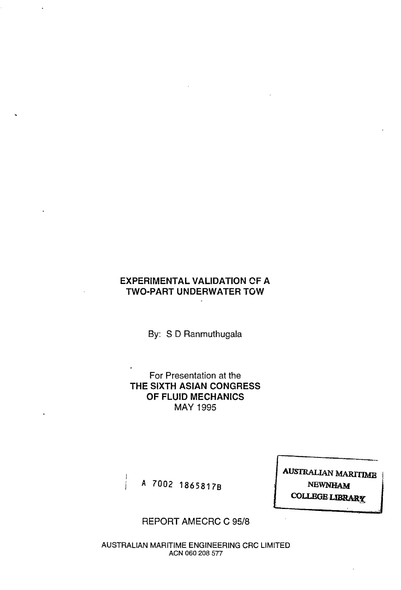# **EXPERIMENTAL VALIDATION CF A TWO-PART UNDERWATER TOW**

By: S D Ranmuthugala

For Presentation at the THE SIXTH ASIAN CONGRESS OF FLUID MECHANICS MAY 1995

A 7002 1865817B

**AUSTRALIAN MARITIME NEWNHAM COLLEGE LIBRARY** 

# REPORT AMECRC C 95/8

AUSTRALIAN MARITIME ENGINEERING CRC LIMITED ACN 060 208 577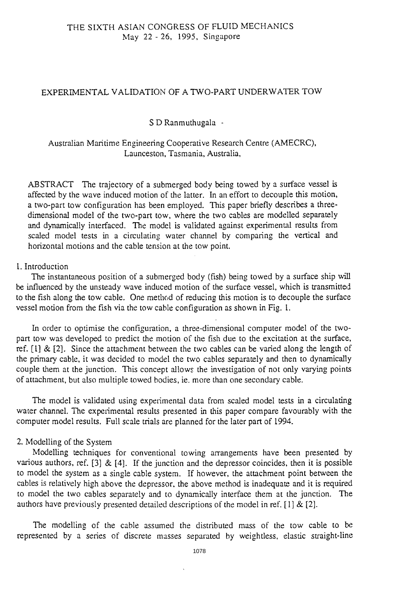### EXPERIMENTAL VALIDATION OF A TWO-PART UNDERWATER TOW

## S D Ranmuthugala -

Australian Maritime Engineering Cooperative Research Centre (AMECRC), Launceston, Tasmania, Australia,

ABSTRACT The trajectory of a submerged body being towed by a surface vessel is affected by the wave induced motion of the latter. In an effort to decouple this motion, a two-part tow contiguration has been employed. This paper briefly describes a threedimensional model of the two-part tow, where the two cables are modelled separately and dynamically interfaced. The model is validated against experimental results from scaled model tests in a circulating water channel by comparing the vertical and horizontal motions and the cable tension at the tow point.

### 1. Introduction

The instantaneous position of a submerged body (fish) being towed by a surface ship will be influenced by the unsteady wave induced motion of the surface vessel, which is transmitted to the fish along the tow cable. One method of reducing this motion is to decouple the surface vessel motion from the fish via the tow cable configuration as shown in Fig. 1.

In order to optimise the configuration, a three-dimensional computer model of the twopart tow was developed to predict the motion of the fish due to the excitation at the surface, ref.  $[1]$  &  $[2]$ . Since the attachment between the two cables can be varied along the length of the primary cable, it was decided to model the two cables separately and then to dynamically couple them at the junction. This concept allows the investigation of not only varying points of attachment, but also multiple towed bodies, ie. more than one secondary cable.

The model is validated using experimental data from scaled model tests in a circulating water channel. The experimental results presented in this paper compare favourably with the computer model results. Full scale trials are planned for the later part of 1994.

## 2. Modelling of the System

Modelling techniques for conventional towing arrangements have been presented by various authors, ref. [3]  $\&$  [4]. If the junction and the depressor coincides, then it is possible to model the system as a single cable system. If however, the attachment point between the cables is relatively high above the depressor. the above method is inadequate and it is required to model the two cables separately and to dynamically interface them at the junction. The authors have previously presented detailed descriptions of the model in ref. [1] & [2].

The modelling of the cable assumed the distributed mass of the tow cable to be represented by a series of discrete masses separated by weightless, elastic straight-line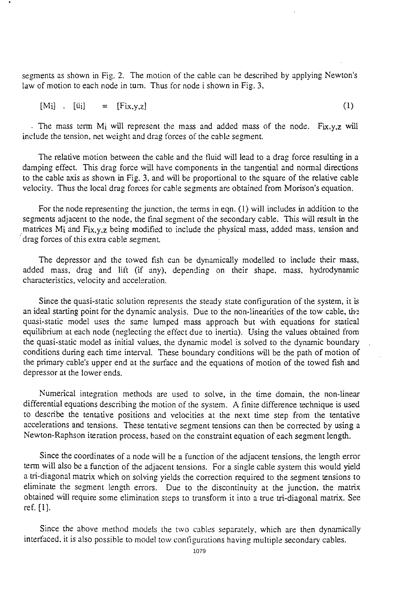segments as shown in Fig. 2. The motion of the cable can be described by applying Newton's law of motion to each node in turn. Thus for node i shown in Fig. 3,

 $[M_i]$  .  $[\ddot{u}_i]$  =  $[Fix,y,z]$  (1)

- The mass term M<sub>i</sub> will represent the mass and added mass of the node. Fix, y, z will include the tension, net weight and drag forces of the cable segment.

The relative motion between the cable and the fluid will lead to a drag force resulting in a damping effect. This drag force will have components in the tangential and normal directions to the cable axis as shown in Fig. 3. and will be proportional to the square of the relative cable velocity. Thus the local drag forces for cable segments are obtained from Morison's equation.

For the node representing the junction, the terms in eqn. (1) will includes in addition to the segments adjacent to the node, the tinal segment of the secondary cable. This will result in the matrices Mi and Fix,y,z being modified to include the physical mass, added mass, tension and . drag forces of this extra cable segment.

The depressor and the towed fish can be dynamically modelled to include their mass, added mass, drag and lift (if any). depending on their shape, mass. hydrodynamic characteristics. velocity and acceleration.

Since the quasi-static solution represents the steady state configuration of the system, it is an ideal starting point for the dynamic analysis. Due to the non-linearities of the tow cable, the quasi-static model uses the same lumped mass approach but with equations for statical equilibrium at each node (neglecting the effect due to inertia). Using the values obtained from the quasi-static model as initial values. the dynamic model is solved to the dynamic boundary conditions during each time intervaL These boundary conditions will be the path of motion of the primary cable's upper end at the surface and the equations of motion of the towed fish and depressor at the lower ends.

Numerical integration methods are used to solve. in the time domain, the non-linear differential equations describing the motion of the system. A finite difference technique is used to describe the tentative positions and velocities at the next time step from the tentative accelerations and tensions. These tentative segment tensions can then be corrected by using a Newton-Raphson iteration process. based on the constraint equation of each segment length.

Since the coordinates of a node will be a function of the adjacent tensions. the length error term will also be a function of the adjacent tensions, For a single cable system this would yield a tri-diagonal matrix which on solving yields the correction required to the segment tensions to eliminate the segment length errors. Due to the discontinuity at the junction, the matrix obtained will require some elimination steps to transform it into a true tri-diagonal matrix. See ref. (1].

Since the above method models the two cables separately, which are then dynamically interfaced. it is also possible to model tow configurations having multiple secondary cables.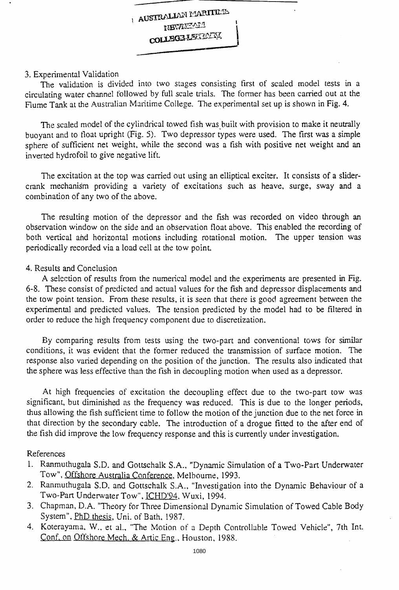#### 3. Experimental Validation

The validation is divided into two stages consisting first of scaled model tests in a circulating water channel followed by full scale trials. The fonner has been carried out at the Flume Tank at the Australian Maritime College. The experimental set up is shown in Fig. 4.

The scaled model of the cylindrical towed fish was built with provision to make it neutrally buoyant and to float upright (Fig. 5). Two depressor types were used. The first was a simple sphere of sufficient net weight, while the second was a tish with positive net weight and an inverted hydrofoil to give negative lift.

The excitation at the top was carried out using an elliptical exciter. It consists of a slidercrank mechanism providing a variety of excitations such as heave, surge, sway and a combination of any two of the above.

The resulting motion of the depressor and the fish was recorded on video through an observation window on the side and an observation float above. This enabled the recording of both vertical and horizontal motions including rotational motion. The upper tension was periodically recorded via a load cell at the tow point.

#### 4. Results and Conclusion

A selection of results from the numerical model and the experiments are presented in Fig. 6-8. These consist of predicted and actual values for the fish and depressor displacements and the tow point tension. From these results, it is seen that there is good agreement between the experimental and predicted values. The tension predicted by the model had to be filtered in order to reduce the high frequency component due to discretization.

By comparing results from tests using the two-part and conventional tows for similar conditions, it was evident that the former reduced the transmission of surface motion. The response also varied depending on the position of the junction. The results also indicated that the sphere was less effective than the fish in decoupling motion when used as a depressor.

At high frequencies of excitation the decoupling effect due to the two-part tow was significant, but diminished as the frequency was reduced. This is due to the longer periods, thus allowing the fish sufticient time to follow the motion of the junction due to the net force in that direction by the secondary cable. The introduction of a drogue fitted to the after end of the fish did improve the low frequency response and this is currently under investigation.

#### References

- 1. Ranmuthugala S.D. and Gottschalk S.A., "Dynamic Simulation of a Two-Part Underwater Tow", Offshore Australia Conference, Melbourne, 1993.
- 2. Ranmuthugala S.D. and Gottschalk S.A., "Investigation into the Dynamic Behaviour of a Two-Part Underwater Tow", ICHD'94, Wuxi, 1994.
- 3. Chapman, D.A. "Theory for Three Dimensional Dynamic Simulation of Towed Cable Body System", PhD thesis, Uni. of Bath, 1987.
- 4. Koterayama, W., et al., "The Motion of a Depth Controllable Towed Vehicle", 7th Int. Conf. on Offshore Mech. & Artic Eng., Houston, 1988.